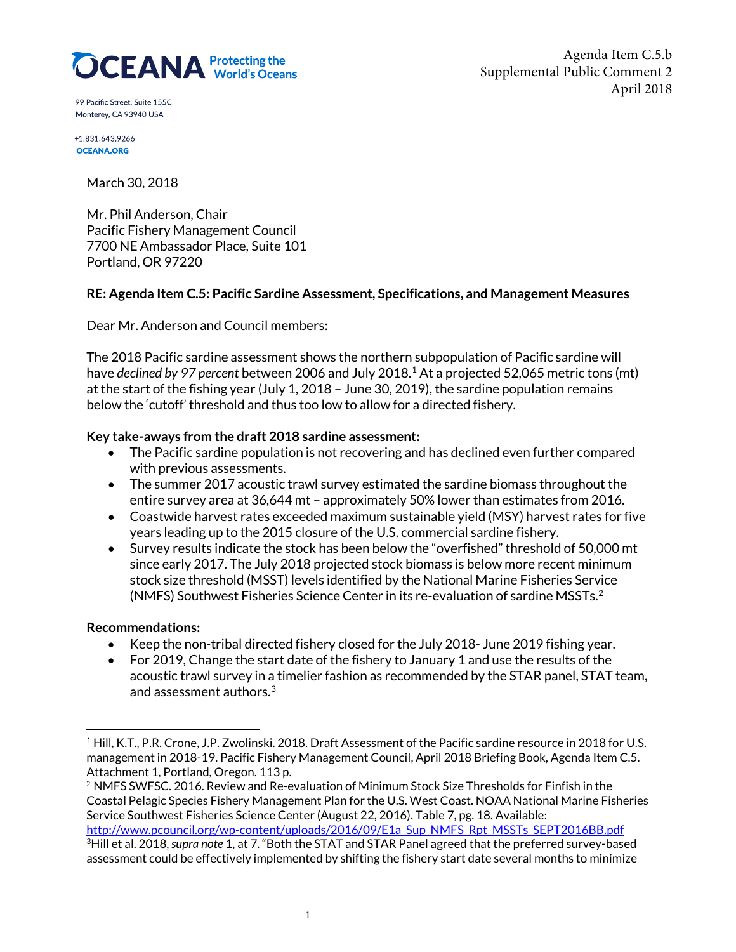

Agenda Item C.5.b Supplemental Public Comment 2 April 2018

99 Pacific Street, Suite 155C Monterey, CA 93940 USA

+1.831.643.9266 **OCEANA ORG** 

March 30, 2018

Mr. Phil Anderson, Chair Pacific Fishery Management Council 7700 NE Ambassador Place, Suite 101 Portland, OR 97220

### **RE: Agenda Item C.5: Pacific Sardine Assessment, Specifications, and Management Measures**

Dear Mr. Anderson and Council members:

The 2018 Pacific sardine assessment shows the northern subpopulation of Pacific sardine will have *declined by 97 percent* between 2006 and July 2018.[1](#page-0-0) At a projected 52,065 metric tons (mt) at the start of the fishing year (July 1, 2018 – June 30, 2019), the sardine population remains below the 'cutoff' threshold and thus too low to allow for a directed fishery.

#### **Key take-aways from the draft 2018 sardine assessment:**

- The Pacific sardine population is not recovering and has declined even further compared with previous assessments.
- The summer 2017 acoustic trawl survey estimated the sardine biomass throughout the entire survey area at 36,644 mt – approximately 50% lower than estimates from 2016.
- Coastwide harvest rates exceeded maximum sustainable yield (MSY) harvest rates for five years leading up to the 2015 closure of the U.S. commercial sardine fishery.
- Survey results indicate the stock has been below the "overfished" threshold of 50,000 mt since early 2017. The July 2018 projected stock biomass is below more recent minimum stock size threshold (MSST) levels identified by the National Marine Fisheries Service (NMFS) Southwest Fisheries Science Center in its re-evaluation of sardine MSSTs. [2](#page-0-1)

### **Recommendations:**

- Keep the non-tribal directed fishery closed for the July 2018- June 2019 fishing year.
- For 2019, Change the start date of the fishery to January 1 and use the results of the acoustic trawl survey in a timelier fashion as recommended by the STAR panel, STAT team, and assessment authors.<sup>[3](#page-0-2)</sup>

<span id="page-0-2"></span><span id="page-0-1"></span><sup>2</sup> NMFS SWFSC. 2016. Review and Re-evaluation of Minimum Stock Size Thresholds for Finfish in the Coastal Pelagic Species Fishery Management Plan for the U.S. West Coast. NOAA National Marine Fisheries Service Southwest Fisheries Science Center (August 22, 2016). Table 7, pg. 18. Available: [http://www.pcouncil.org/wp-content/uploads/2016/09/E1a\\_Sup\\_NMFS\\_Rpt\\_MSSTs\\_SEPT2016BB.pdf](http://www.pcouncil.org/wp-content/uploads/2016/09/E1a_Sup_NMFS_Rpt_MSSTs_SEPT2016BB.pdf) 3Hill et al. 2018, *supra note* 1, at 7. "Both the STAT and STAR Panel agreed that the preferred survey-based assessment could be effectively implemented by shifting the fishery start date several months to minimize

<span id="page-0-0"></span><sup>&</sup>lt;sup>1</sup> Hill, K.T., P.R. Crone, J.P. Zwolinski. 2018. Draft Assessment of the Pacific sardine resource in 2018 for U.S. management in 2018-19. Pacific Fishery Management Council, April 2018 Briefing Book, Agenda Item C.5. Attachment 1, Portland, Oregon. 113 p.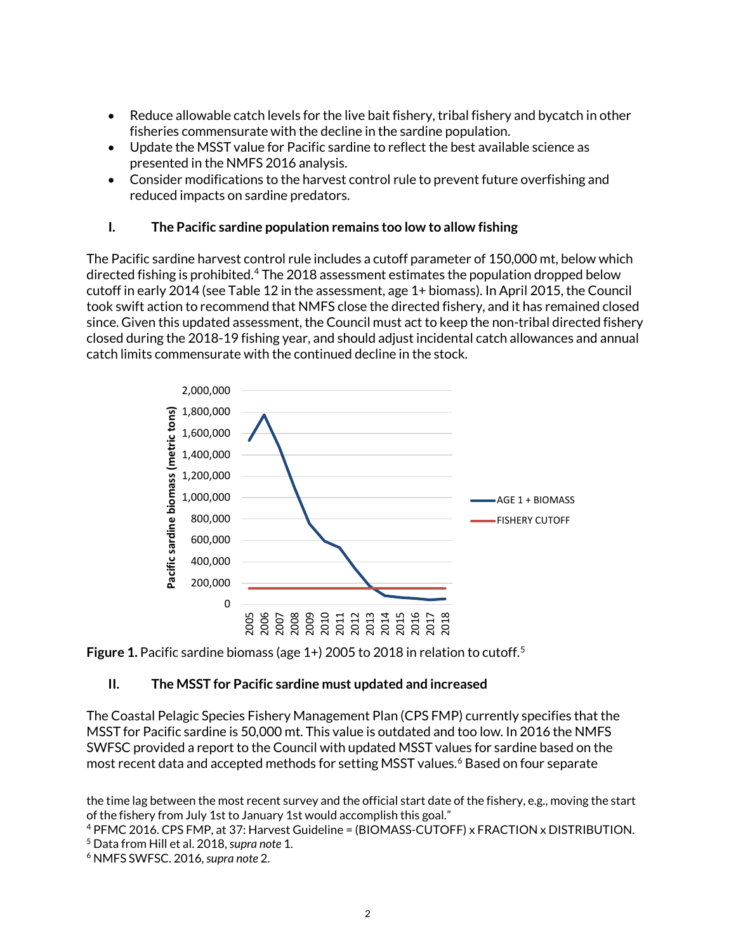- Reduce allowable catch levels for the live bait fishery, tribal fishery and bycatch in other fisheries commensurate with the decline in the sardine population.
- Update the MSST value for Pacific sardine to reflect the best available science as presented in the NMFS 2016 analysis.
- Consider modifications to the harvest control rule to prevent future overfishing and reduced impacts on sardine predators.

## **I. The Pacific sardine population remains too low to allow fishing**

The Pacific sardine harvest control rule includes a cutoff parameter of 150,000 mt, below which directed fishing is prohibited.<sup>[4](#page-1-0)</sup> The 2018 assessment estimates the population dropped below cutoff in early 2014 (see Table 12 in the assessment, age 1+ biomass). In April 2015, the Council took swift action to recommend that NMFS close the directed fishery, and it has remained closed since. Given this updated assessment, the Council must act to keep the non-tribal directed fishery closed during the 2018-19 fishing year, and should adjust incidental catch allowances and annual catch limits commensurate with the continued decline in the stock.





# **II. The MSST for Pacific sardine must updated and increased**

The Coastal Pelagic Species Fishery Management Plan (CPS FMP) currently specifies that the MSST for Pacific sardine is 50,000 mt. This value is outdated and too low. In 2016 the NMFS SWFSC provided a report to the Council with updated MSST values for sardine based on the most recent data and accepted methods for setting MSST values. [6](#page-1-2) Based on four separate

the time lag between the most recent survey and the official start date of the fishery, e.g., moving the start of the fishery from July 1st to January 1st would accomplish this goal."

<span id="page-1-0"></span><sup>4</sup> PFMC 2016. CPS FMP, at 37: Harvest Guideline = (BIOMASS-CUTOFF) x FRACTION x DISTRIBUTION. <sup>5</sup> Data from Hill et al. 2018, *supra note* 1.

<span id="page-1-2"></span><span id="page-1-1"></span><sup>6</sup> NMFS SWFSC. 2016, *supra note* 2.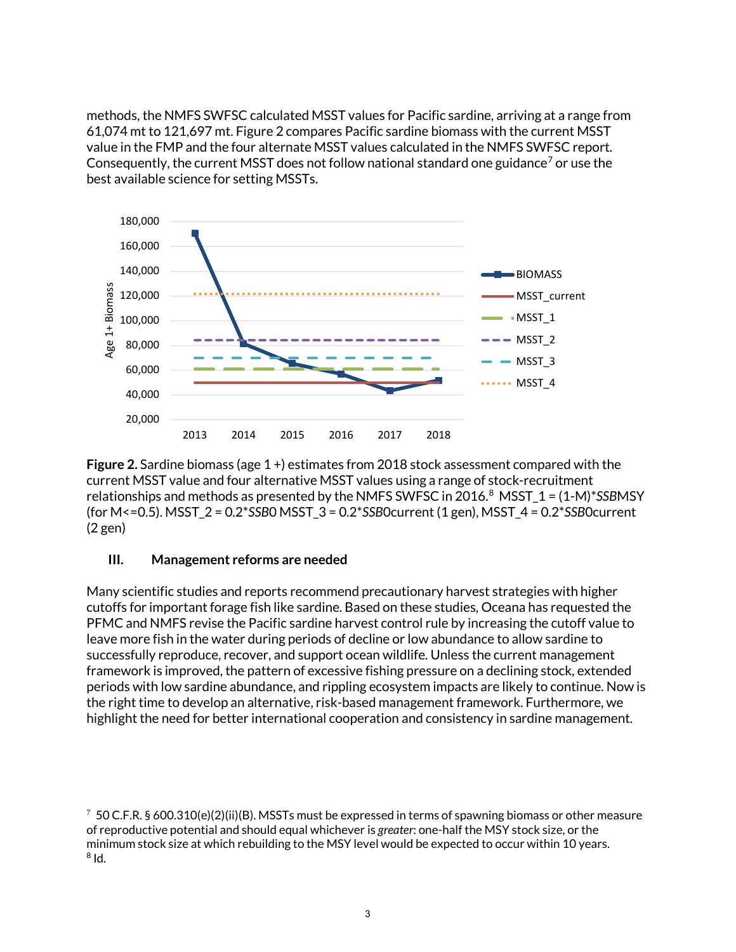methods, the NMFS SWFSC calculated MSST values for Pacific sardine, arriving at a range from 61,074 mt to 121,697 mt. Figure 2 compares Pacific sardine biomass with the current MSST value in the FMP and the four alternate MSST values calculated in the NMFS SWFSC report. Consequently, the current MSST does not follow national standard one guidance<sup>[7](#page-2-0)</sup> or use the best available science for setting MSSTs.



**Figure 2.** Sardine biomass (age 1 +) estimates from 2018 stock assessment compared with the current MSST value and four alternative MSST values using a range of stock-recruitment relationships and methods as presented by the NMFS SWFSC in 2016.[8](#page-2-1) MSST\_1 = (1-M)\**SSB*MSY (for M<=0.5). MSST\_2 = 0.2\**SSB*0 MSST\_3 = 0.2\**SSB*0current (1 gen), MSST\_4 = 0.2\**SSB*0current (2 gen)

### **III. Management reforms are needed**

Many scientific studies and reports recommend precautionary harvest strategies with higher cutoffs for important forage fish like sardine. Based on these studies, Oceana has requested the PFMC and NMFS revise the Pacific sardine harvest control rule by increasing the cutoff value to leave more fish in the water during periods of decline or low abundance to allow sardine to successfully reproduce, recover, and support ocean wildlife. Unless the current management framework is improved, the pattern of excessive fishing pressure on a declining stock, extended periods with low sardine abundance, and rippling ecosystem impacts are likely to continue. Now is the right time to develop an alternative, risk-based management framework. Furthermore, we highlight the need for better international cooperation and consistency in sardine management.

<span id="page-2-1"></span><span id="page-2-0"></span><sup>7</sup> 50 C.F.R. § 600.310(e)(2)(ii)(B). MSSTs must be expressed in terms of spawning biomass or other measure of reproductive potential and should equal whichever is *greater*: one-half the MSY stock size, or the minimum stock size at which rebuilding to the MSY level would be expected to occur within 10 years.  $8$  Id.